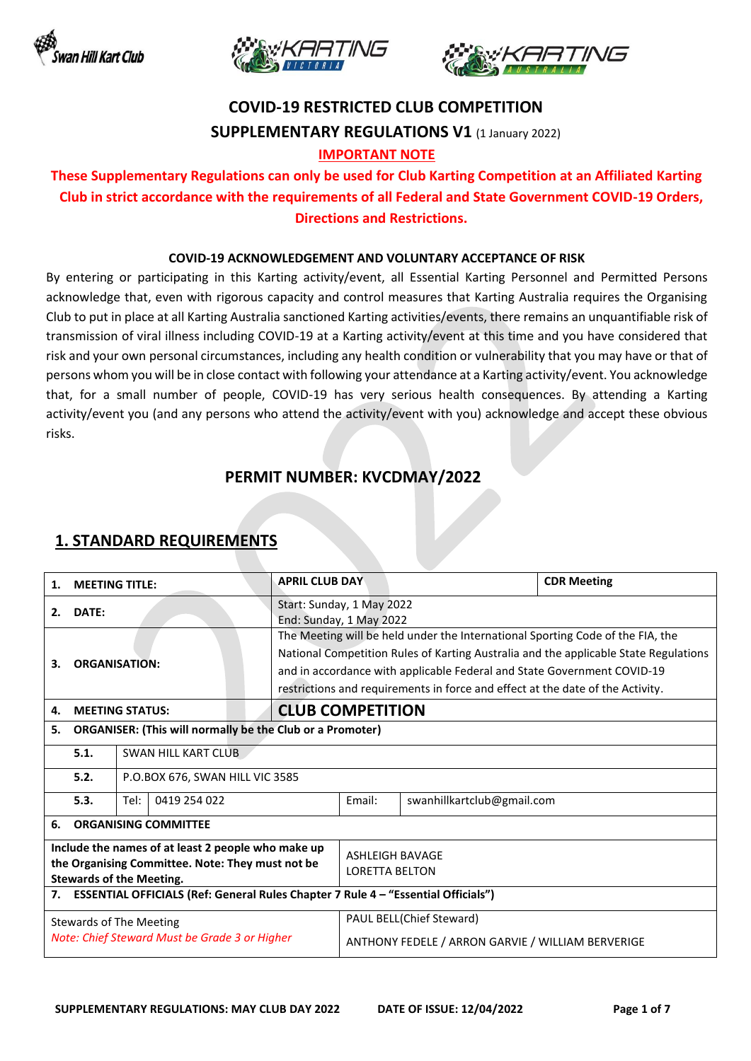





# **COVID-19 RESTRICTED CLUB COMPETITION SUPPLEMENTARY REGULATIONS V1** (1 January 2022)

#### **IMPORTANT NOTE**

## **These Supplementary Regulations can only be used for Club Karting Competition at an Affiliated Karting Club in strict accordance with the requirements of all Federal and State Government COVID-19 Orders, Directions and Restrictions.**

#### **COVID-19 ACKNOWLEDGEMENT AND VOLUNTARY ACCEPTANCE OF RISK**

By entering or participating in this Karting activity/event, all Essential Karting Personnel and Permitted Persons acknowledge that, even with rigorous capacity and control measures that Karting Australia requires the Organising Club to put in place at all Karting Australia sanctioned Karting activities/events, there remains an unquantifiable risk of transmission of viral illness including COVID-19 at a Karting activity/event at this time and you have considered that risk and your own personal circumstances, including any health condition or vulnerability that you may have or that of persons whom you will be in close contact with following your attendance at a Karting activity/event. You acknowledge that, for a small number of people, COVID-19 has very serious health consequences. By attending a Karting activity/event you (and any persons who attend the activity/event with you) acknowledge and accept these obvious risks.

### **PERMIT NUMBER: KVCDMAY/2022**

#### 1. **MEETING TITLE:** APRIL CLUB DAY **APRILL CLUB DAY CDR Meeting 2. DATE:** Start: Sunday, 1 May 2022 End: Sunday, 1 May 2022 **3. ORGANISATION:** The Meeting will be held under the International Sporting Code of the FIA, the National Competition Rules of Karting Australia and the applicable State Regulations and in accordance with applicable Federal and State Government COVID-19 restrictions and requirements in force and effect at the date of the Activity. **4. MEETING STATUS: CLUB COMPETITION 5. ORGANISER: (This will normally be the Club or a Promoter) 5.1.** SWAN HILL KART CLUB **5.2.** P.O.BOX 676, SWAN HILL VIC 3585 **5.3.** Tel: 0419 254 022 Email: swanhillkartclub@gmail.com **6. ORGANISING COMMITTEE Include the names of at least 2 people who make up the Organising Committee. Note: They must not be Stewards of the Meeting.** ASHLEIGH BAVAGE LORETTA BELTON **7. ESSENTIAL OFFICIALS (Ref: General Rules Chapter 7 Rule 4 – "Essential Officials")** Stewards of The Meeting *Note: Chief Steward Must be Grade 3 or Higher* PAUL BELL(Chief Steward) ANTHONY FEDELE / ARRON GARVIE / WILLIAM BERVERIGE

### **1. STANDARD REQUIREMENTS**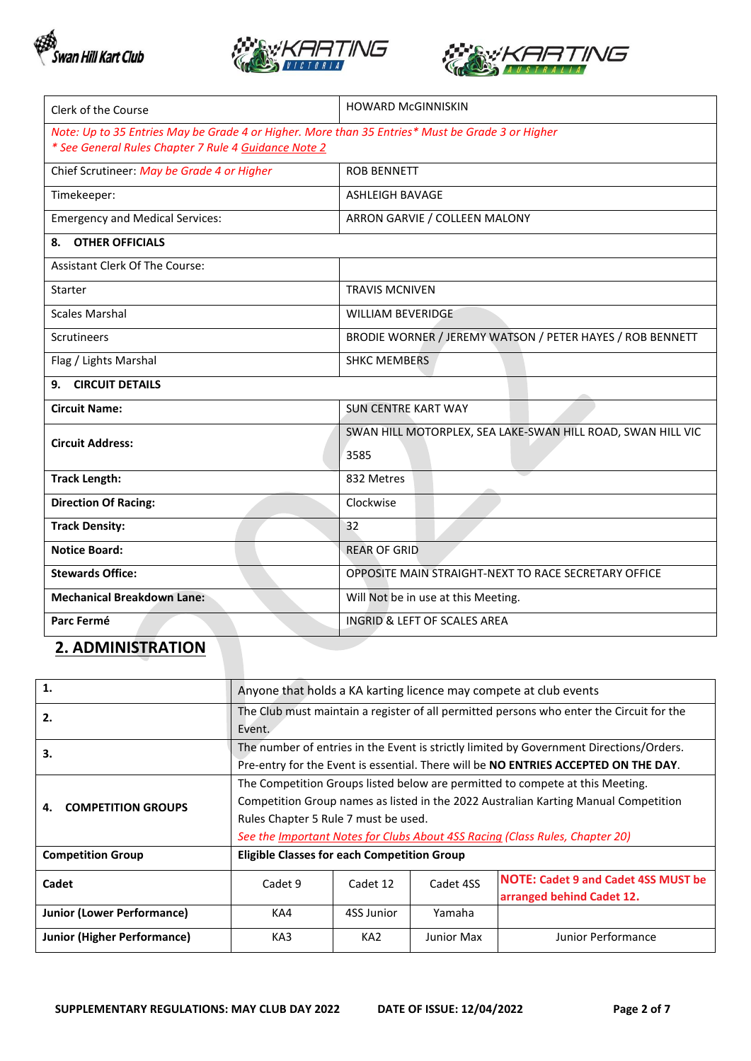





| Clerk of the Course                                                                              | <b>HOWARD McGINNISKIN</b>                                   |  |  |
|--------------------------------------------------------------------------------------------------|-------------------------------------------------------------|--|--|
| Note: Up to 35 Entries May be Grade 4 or Higher. More than 35 Entries* Must be Grade 3 or Higher |                                                             |  |  |
| * See General Rules Chapter 7 Rule 4 Guidance Note 2                                             |                                                             |  |  |
| Chief Scrutineer: May be Grade 4 or Higher                                                       | <b>ROB BENNETT</b>                                          |  |  |
| Timekeeper:                                                                                      | <b>ASHLEIGH BAVAGE</b>                                      |  |  |
| <b>Emergency and Medical Services:</b>                                                           | ARRON GARVIE / COLLEEN MALONY                               |  |  |
| <b>OTHER OFFICIALS</b><br>8.                                                                     |                                                             |  |  |
| <b>Assistant Clerk Of The Course:</b>                                                            |                                                             |  |  |
| <b>Starter</b>                                                                                   | <b>TRAVIS MCNIVEN</b>                                       |  |  |
| <b>Scales Marshal</b>                                                                            | <b>WILLIAM BEVERIDGE</b>                                    |  |  |
| <b>Scrutineers</b>                                                                               | BRODIE WORNER / JEREMY WATSON / PETER HAYES / ROB BENNETT   |  |  |
| Flag / Lights Marshal                                                                            | <b>SHKC MEMBERS</b>                                         |  |  |
| <b>CIRCUIT DETAILS</b><br>9.                                                                     |                                                             |  |  |
| <b>Circuit Name:</b>                                                                             | <b>SUN CENTRE KART WAY</b>                                  |  |  |
|                                                                                                  | SWAN HILL MOTORPLEX, SEA LAKE-SWAN HILL ROAD, SWAN HILL VIC |  |  |
| <b>Circuit Address:</b>                                                                          | 3585                                                        |  |  |
| <b>Track Length:</b>                                                                             | 832 Metres                                                  |  |  |
| <b>Direction Of Racing:</b>                                                                      | Clockwise                                                   |  |  |
| <b>Track Density:</b>                                                                            | 32                                                          |  |  |
| <b>Notice Board:</b>                                                                             | <b>REAR OF GRID</b>                                         |  |  |
| <b>Stewards Office:</b>                                                                          | OPPOSITE MAIN STRAIGHT-NEXT TO RACE SECRETARY OFFICE        |  |  |
| <b>Mechanical Breakdown Lane:</b>                                                                | Will Not be in use at this Meeting.                         |  |  |
| Parc Fermé                                                                                       | <b>INGRID &amp; LEFT OF SCALES AREA</b>                     |  |  |

## **2. ADMINISTRATION**

| 1.                                 | Anyone that holds a KA karting licence may compete at club events                                                                                                                                                                                                                                   |                 |                   |                                                                         |
|------------------------------------|-----------------------------------------------------------------------------------------------------------------------------------------------------------------------------------------------------------------------------------------------------------------------------------------------------|-----------------|-------------------|-------------------------------------------------------------------------|
| 2.                                 | The Club must maintain a register of all permitted persons who enter the Circuit for the<br>Event.                                                                                                                                                                                                  |                 |                   |                                                                         |
| 3.                                 | The number of entries in the Event is strictly limited by Government Directions/Orders.<br>Pre-entry for the Event is essential. There will be NO ENTRIES ACCEPTED ON THE DAY.                                                                                                                      |                 |                   |                                                                         |
| <b>COMPETITION GROUPS</b><br>4.    | The Competition Groups listed below are permitted to compete at this Meeting.<br>Competition Group names as listed in the 2022 Australian Karting Manual Competition<br>Rules Chapter 5 Rule 7 must be used.<br>See the <u>Important Notes for Clubs About 4SS Racing</u> (Class Rules, Chapter 20) |                 |                   |                                                                         |
| <b>Competition Group</b>           | <b>Eligible Classes for each Competition Group</b>                                                                                                                                                                                                                                                  |                 |                   |                                                                         |
| Cadet                              | Cadet 9                                                                                                                                                                                                                                                                                             | Cadet 12        | Cadet 4SS         | <b>NOTE: Cadet 9 and Cadet 4SS MUST be</b><br>arranged behind Cadet 12. |
| <b>Junior (Lower Performance)</b>  | KA4                                                                                                                                                                                                                                                                                                 | 4SS Junior      | Yamaha            |                                                                         |
| <b>Junior (Higher Performance)</b> | KA3                                                                                                                                                                                                                                                                                                 | KA <sub>2</sub> | <b>Junior Max</b> | <b>Junior Performance</b>                                               |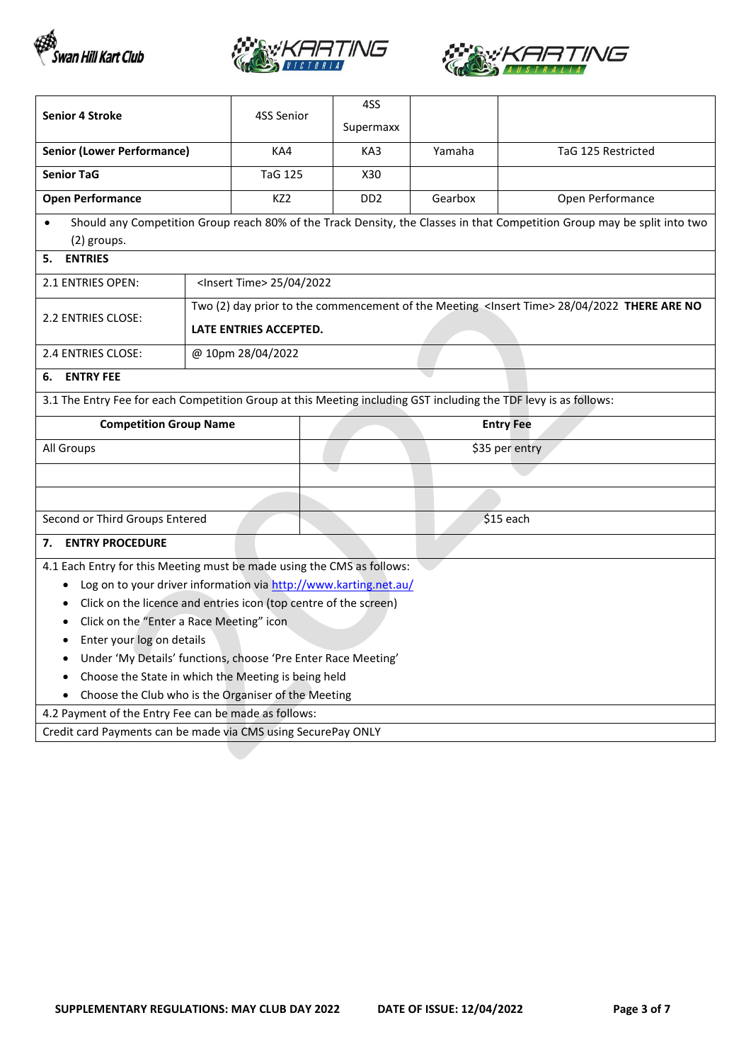





| <b>Senior 4 Stroke</b>                                                                                                   |  | 4SS Senior                           | 4SS             |         |                                                                                                        |
|--------------------------------------------------------------------------------------------------------------------------|--|--------------------------------------|-----------------|---------|--------------------------------------------------------------------------------------------------------|
|                                                                                                                          |  |                                      | Supermaxx       |         |                                                                                                        |
| <b>Senior (Lower Performance)</b>                                                                                        |  | KA4                                  | KA3             | Yamaha  | TaG 125 Restricted                                                                                     |
| <b>Senior TaG</b>                                                                                                        |  | <b>TaG 125</b>                       | X30             |         |                                                                                                        |
| <b>Open Performance</b>                                                                                                  |  | KZ <sub>2</sub>                      | DD <sub>2</sub> | Gearbox | Open Performance                                                                                       |
| Should any Competition Group reach 80% of the Track Density, the Classes in that Competition Group may be split into two |  |                                      |                 |         |                                                                                                        |
| (2) groups.                                                                                                              |  |                                      |                 |         |                                                                                                        |
| <b>ENTRIES</b><br>5.                                                                                                     |  |                                      |                 |         |                                                                                                        |
| 2.1 ENTRIES OPEN:                                                                                                        |  | <lnsert time=""> 25/04/2022</lnsert> |                 |         |                                                                                                        |
| 2.2 ENTRIES CLOSE:                                                                                                       |  |                                      |                 |         | Two (2) day prior to the commencement of the Meeting <lnsert time=""> 28/04/2022 THERE ARE NO</lnsert> |
|                                                                                                                          |  | LATE ENTRIES ACCEPTED.               |                 |         |                                                                                                        |
| 2.4 ENTRIES CLOSE:                                                                                                       |  | @ 10pm 28/04/2022                    |                 |         |                                                                                                        |
| <b>ENTRY FEE</b><br>6.                                                                                                   |  |                                      |                 |         |                                                                                                        |
| 3.1 The Entry Fee for each Competition Group at this Meeting including GST including the TDF levy is as follows:         |  |                                      |                 |         |                                                                                                        |
| <b>Competition Group Name</b><br><b>Entry Fee</b>                                                                        |  |                                      |                 |         |                                                                                                        |
|                                                                                                                          |  |                                      |                 |         |                                                                                                        |
| All Groups                                                                                                               |  |                                      |                 |         | \$35 per entry                                                                                         |
|                                                                                                                          |  |                                      |                 |         |                                                                                                        |
|                                                                                                                          |  |                                      |                 |         |                                                                                                        |
| Second or Third Groups Entered                                                                                           |  |                                      |                 |         | $$15$ each                                                                                             |
| <b>ENTRY PROCEDURE</b><br>7.                                                                                             |  |                                      |                 |         |                                                                                                        |
| 4.1 Each Entry for this Meeting must be made using the CMS as follows:                                                   |  |                                      |                 |         |                                                                                                        |
| Log on to your driver information via http://www.karting.net.au/<br>$\bullet$                                            |  |                                      |                 |         |                                                                                                        |
| Click on the licence and entries icon (top centre of the screen)<br>٠                                                    |  |                                      |                 |         |                                                                                                        |
| Click on the "Enter a Race Meeting" icon<br>٠                                                                            |  |                                      |                 |         |                                                                                                        |
| Enter your log on details<br>٠                                                                                           |  |                                      |                 |         |                                                                                                        |
| Under 'My Details' functions, choose 'Pre Enter Race Meeting'<br>٠                                                       |  |                                      |                 |         |                                                                                                        |
| Choose the State in which the Meeting is being held                                                                      |  |                                      |                 |         |                                                                                                        |
| Choose the Club who is the Organiser of the Meeting                                                                      |  |                                      |                 |         |                                                                                                        |
| 4.2 Payment of the Entry Fee can be made as follows:<br>Credit card Payments can be made via CMS using SecurePay ONLY    |  |                                      |                 |         |                                                                                                        |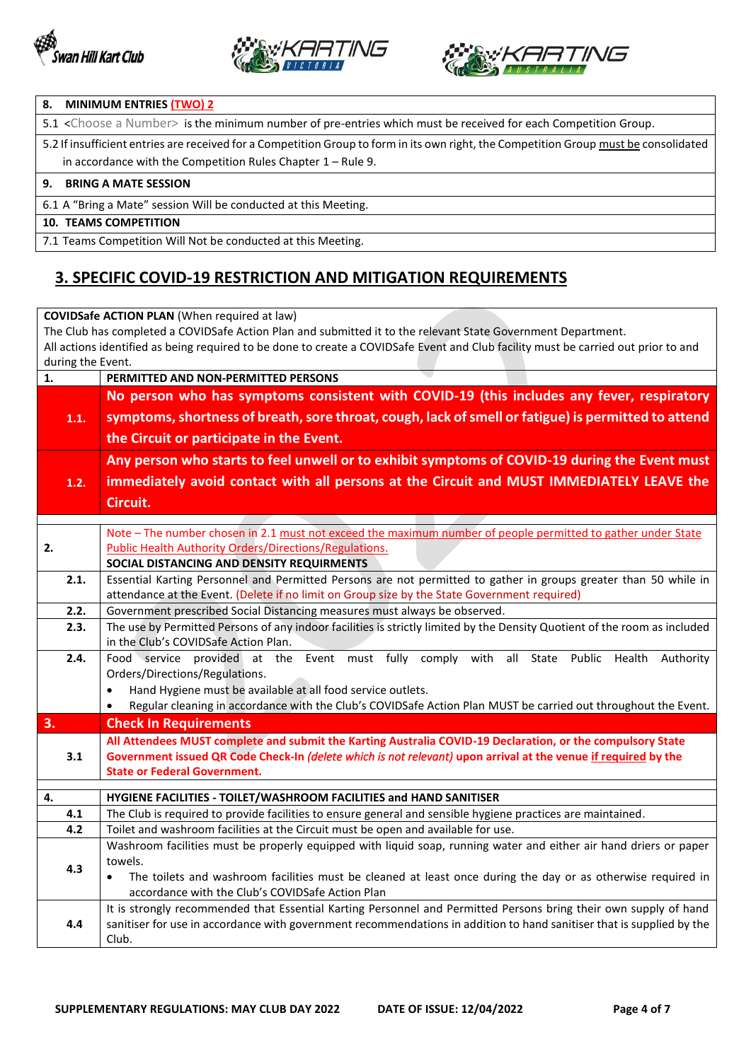





#### **8. MINIMUM ENTRIES (TWO) 2**

5.1 <Choose a Number> is the minimum number of pre-entries which must be received for each Competition Group.

5.2 If insufficient entries are received for a Competition Group to form in its own right, the Competition Group must be consolidated in accordance with the Competition Rules Chapter 1 – Rule 9.

#### **9. BRING A MATE SESSION**

6.1 A "Bring a Mate" session Will be conducted at this Meeting.

**10. TEAMS COMPETITION**

7.1 Teams Competition Will Not be conducted at this Meeting.

## **3. SPECIFIC COVID-19 RESTRICTION AND MITIGATION REQUIREMENTS**

|                   | <b>COVIDSafe ACTION PLAN (When required at law)</b>                                                                                                                                                              |
|-------------------|------------------------------------------------------------------------------------------------------------------------------------------------------------------------------------------------------------------|
|                   | The Club has completed a COVIDSafe Action Plan and submitted it to the relevant State Government Department.                                                                                                     |
|                   | All actions identified as being required to be done to create a COVIDSafe Event and Club facility must be carried out prior to and                                                                               |
| during the Event. |                                                                                                                                                                                                                  |
| 1.                | PERMITTED AND NON-PERMITTED PERSONS                                                                                                                                                                              |
|                   | No person who has symptoms consistent with COVID-19 (this includes any fever, respiratory                                                                                                                        |
| 1.1.              | symptoms, shortness of breath, sore throat, cough, lack of smell or fatigue) is permitted to attend                                                                                                              |
|                   | the Circuit or participate in the Event.                                                                                                                                                                         |
|                   | Any person who starts to feel unwell or to exhibit symptoms of COVID-19 during the Event must                                                                                                                    |
| 1.2.              | immediately avoid contact with all persons at the Circuit and MUST IMMEDIATELY LEAVE the                                                                                                                         |
|                   | Circuit.                                                                                                                                                                                                         |
|                   |                                                                                                                                                                                                                  |
|                   | Note - The number chosen in 2.1 must not exceed the maximum number of people permitted to gather under State                                                                                                     |
| 2.                | <b>Public Health Authority Orders/Directions/Regulations.</b>                                                                                                                                                    |
|                   | SOCIAL DISTANCING AND DENSITY REQUIRMENTS                                                                                                                                                                        |
| 2.1.              | Essential Karting Personnel and Permitted Persons are not permitted to gather in groups greater than 50 while in<br>attendance at the Event. (Delete if no limit on Group size by the State Government required) |
| 2.2.              | Government prescribed Social Distancing measures must always be observed.                                                                                                                                        |
| 2.3.              | The use by Permitted Persons of any indoor facilities is strictly limited by the Density Quotient of the room as included                                                                                        |
|                   | in the Club's COVIDSafe Action Plan.                                                                                                                                                                             |
| 2.4.              | Food service provided at the Event must fully comply<br>all State<br>Public Health<br>with<br>Authority                                                                                                          |
|                   | Orders/Directions/Regulations.                                                                                                                                                                                   |
|                   | Hand Hygiene must be available at all food service outlets.<br>$\bullet$                                                                                                                                         |
|                   | Regular cleaning in accordance with the Club's COVIDSafe Action Plan MUST be carried out throughout the Event.<br>$\bullet$                                                                                      |
| 3.                | <b>Check In Requirements</b>                                                                                                                                                                                     |
|                   | All Attendees MUST complete and submit the Karting Australia COVID-19 Declaration, or the compulsory State                                                                                                       |
| 3.1               | Government issued QR Code Check-In (delete which is not relevant) upon arrival at the venue if required by the                                                                                                   |
|                   | <b>State or Federal Government.</b>                                                                                                                                                                              |
| 4.                | HYGIENE FACILITIES - TOILET/WASHROOM FACILITIES and HAND SANITISER                                                                                                                                               |
| 4.1               | The Club is required to provide facilities to ensure general and sensible hygiene practices are maintained.                                                                                                      |
| 4.2               | Toilet and washroom facilities at the Circuit must be open and available for use.                                                                                                                                |
|                   | Washroom facilities must be properly equipped with liquid soap, running water and either air hand driers or paper                                                                                                |
| 4.3               | towels.                                                                                                                                                                                                          |
|                   | The toilets and washroom facilities must be cleaned at least once during the day or as otherwise required in                                                                                                     |
|                   | accordance with the Club's COVIDSafe Action Plan                                                                                                                                                                 |
|                   | It is strongly recommended that Essential Karting Personnel and Permitted Persons bring their own supply of hand                                                                                                 |
| 4.4               | sanitiser for use in accordance with government recommendations in addition to hand sanitiser that is supplied by the<br>Club.                                                                                   |
|                   |                                                                                                                                                                                                                  |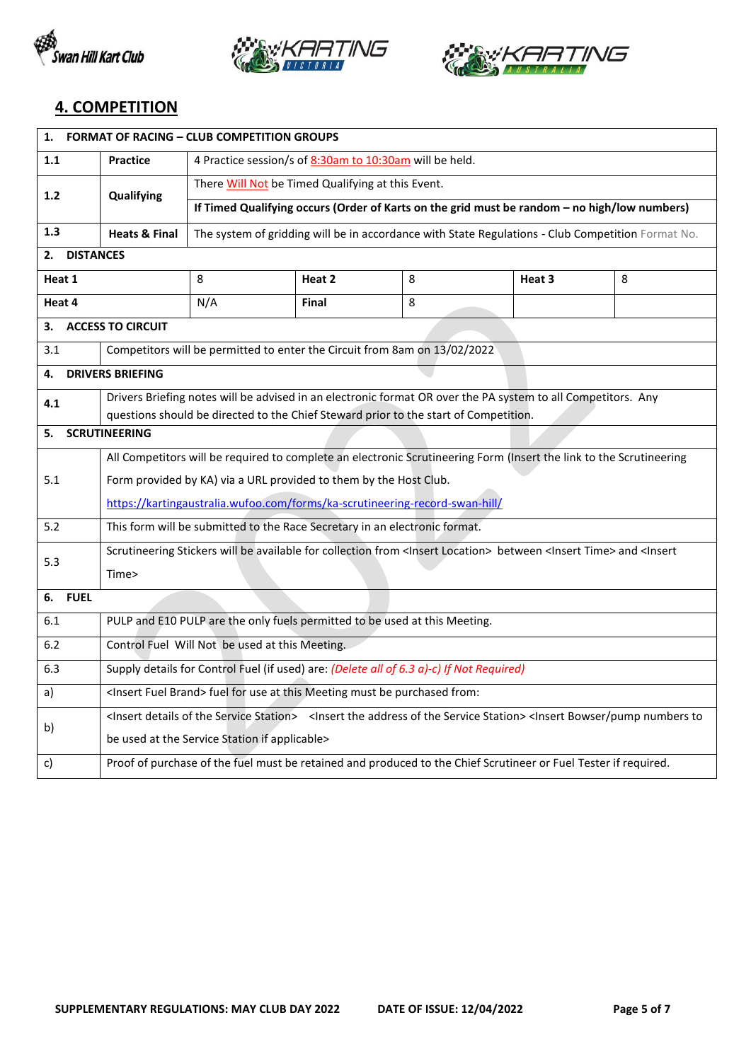





## **4. COMPETITION**

| <b>FORMAT OF RACING - CLUB COMPETITION GROUPS</b><br>1. |                                                                                                                                                                                             |                                                                                                   |        |                                                                                                                 |        |   |
|---------------------------------------------------------|---------------------------------------------------------------------------------------------------------------------------------------------------------------------------------------------|---------------------------------------------------------------------------------------------------|--------|-----------------------------------------------------------------------------------------------------------------|--------|---|
| 1.1                                                     | <b>Practice</b>                                                                                                                                                                             | 4 Practice session/s of 8:30am to 10:30am will be held.                                           |        |                                                                                                                 |        |   |
| 1.2                                                     | Qualifying                                                                                                                                                                                  | There Will Not be Timed Qualifying at this Event.                                                 |        |                                                                                                                 |        |   |
|                                                         |                                                                                                                                                                                             |                                                                                                   |        | If Timed Qualifying occurs (Order of Karts on the grid must be random - no high/low numbers)                    |        |   |
| 1.3                                                     | <b>Heats &amp; Final</b>                                                                                                                                                                    | The system of gridding will be in accordance with State Regulations - Club Competition Format No. |        |                                                                                                                 |        |   |
| 2.                                                      | <b>DISTANCES</b>                                                                                                                                                                            |                                                                                                   |        |                                                                                                                 |        |   |
| Heat 1                                                  |                                                                                                                                                                                             | 8                                                                                                 | Heat 2 | 8                                                                                                               | Heat 3 | 8 |
| Heat 4                                                  |                                                                                                                                                                                             | N/A                                                                                               | Final  | 8                                                                                                               |        |   |
| з.                                                      | <b>ACCESS TO CIRCUIT</b>                                                                                                                                                                    |                                                                                                   |        |                                                                                                                 |        |   |
| 3.1                                                     |                                                                                                                                                                                             | Competitors will be permitted to enter the Circuit from 8am on 13/02/2022                         |        |                                                                                                                 |        |   |
| 4.                                                      | <b>DRIVERS BRIEFING</b>                                                                                                                                                                     |                                                                                                   |        |                                                                                                                 |        |   |
| 4.1                                                     |                                                                                                                                                                                             |                                                                                                   |        | Drivers Briefing notes will be advised in an electronic format OR over the PA system to all Competitors. Any    |        |   |
|                                                         |                                                                                                                                                                                             |                                                                                                   |        | questions should be directed to the Chief Steward prior to the start of Competition.                            |        |   |
|                                                         | <b>SCRUTINEERING</b><br>5.                                                                                                                                                                  |                                                                                                   |        |                                                                                                                 |        |   |
|                                                         | All Competitors will be required to complete an electronic Scrutineering Form (Insert the link to the Scrutineering                                                                         |                                                                                                   |        |                                                                                                                 |        |   |
| 5.1                                                     | Form provided by KA) via a URL provided to them by the Host Club.                                                                                                                           |                                                                                                   |        |                                                                                                                 |        |   |
|                                                         | https://kartingaustralia.wufoo.com/forms/ka-scrutineering-record-swan-hill/                                                                                                                 |                                                                                                   |        |                                                                                                                 |        |   |
| 5.2                                                     | This form will be submitted to the Race Secretary in an electronic format.                                                                                                                  |                                                                                                   |        |                                                                                                                 |        |   |
| 5.3                                                     | Scrutineering Stickers will be available for collection from <insert location=""> between <insert time=""> and <insert< th=""></insert<></insert></insert>                                  |                                                                                                   |        |                                                                                                                 |        |   |
|                                                         | Time>                                                                                                                                                                                       |                                                                                                   |        |                                                                                                                 |        |   |
| <b>FUEL</b><br>6.                                       |                                                                                                                                                                                             |                                                                                                   |        |                                                                                                                 |        |   |
| 6.1                                                     |                                                                                                                                                                                             | PULP and E10 PULP are the only fuels permitted to be used at this Meeting.                        |        |                                                                                                                 |        |   |
| 6.2                                                     |                                                                                                                                                                                             | Control Fuel Will Not be used at this Meeting.                                                    |        |                                                                                                                 |        |   |
| 6.3                                                     |                                                                                                                                                                                             |                                                                                                   |        | Supply details for Control Fuel (if used) are: (Delete all of 6.3 a)-c) If Not Required)                        |        |   |
| a)                                                      |                                                                                                                                                                                             | <insert brand="" fuel=""> fuel for use at this Meeting must be purchased from:</insert>           |        |                                                                                                                 |        |   |
| b)                                                      | <lnsert details="" of="" service="" station="" the=""> <lnsert address="" of="" service="" station="" the=""> <lnsert bowser="" numbers="" pump="" th="" to<=""></lnsert></lnsert></lnsert> |                                                                                                   |        |                                                                                                                 |        |   |
|                                                         | be used at the Service Station if applicable>                                                                                                                                               |                                                                                                   |        |                                                                                                                 |        |   |
| c)                                                      |                                                                                                                                                                                             |                                                                                                   |        | Proof of purchase of the fuel must be retained and produced to the Chief Scrutineer or Fuel Tester if required. |        |   |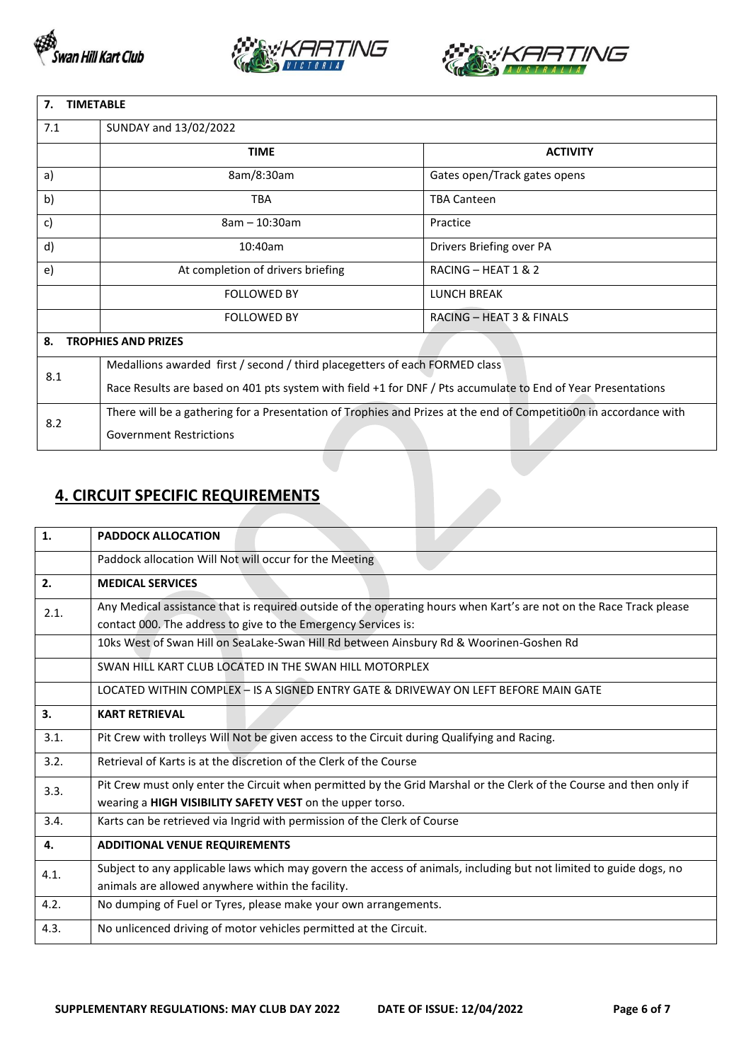





| <b>TIMETABLE</b><br>7. |                                                                                                                   |                              |  |  |
|------------------------|-------------------------------------------------------------------------------------------------------------------|------------------------------|--|--|
| 7.1                    | SUNDAY and 13/02/2022                                                                                             |                              |  |  |
|                        | <b>TIME</b>                                                                                                       | <b>ACTIVITY</b>              |  |  |
| a)                     | 8am/8:30am                                                                                                        | Gates open/Track gates opens |  |  |
| b)                     | <b>TBA</b>                                                                                                        | <b>TBA Canteen</b>           |  |  |
| c)                     | $8am - 10:30am$                                                                                                   | Practice                     |  |  |
| d)                     | 10:40am                                                                                                           | Drivers Briefing over PA     |  |  |
| e)                     | At completion of drivers briefing                                                                                 | RACING - HEAT 1 & 2          |  |  |
|                        | <b>FOLLOWED BY</b>                                                                                                | <b>LUNCH BREAK</b>           |  |  |
|                        | <b>FOLLOWED BY</b>                                                                                                | RACING - HEAT 3 & FINALS     |  |  |
| 8.                     | <b>TROPHIES AND PRIZES</b>                                                                                        |                              |  |  |
| 8.1                    | Medallions awarded first / second / third placegetters of each FORMED class                                       |                              |  |  |
|                        | Race Results are based on 401 pts system with field +1 for DNF / Pts accumulate to End of Year Presentations      |                              |  |  |
| 8.2                    | There will be a gathering for a Presentation of Trophies and Prizes at the end of CompetitioOn in accordance with |                              |  |  |
|                        | <b>Government Restrictions</b>                                                                                    |                              |  |  |

# **4. CIRCUIT SPECIFIC REQUIREMENTS**

| $\mathbf{1}$ . | <b>PADDOCK ALLOCATION</b>                                                                                                                                                             |
|----------------|---------------------------------------------------------------------------------------------------------------------------------------------------------------------------------------|
|                | Paddock allocation Will Not will occur for the Meeting                                                                                                                                |
| 2.             | <b>MEDICAL SERVICES</b>                                                                                                                                                               |
| 2.1.           | Any Medical assistance that is required outside of the operating hours when Kart's are not on the Race Track please<br>contact 000. The address to give to the Emergency Services is: |
|                | 10ks West of Swan Hill on SeaLake-Swan Hill Rd between Ainsbury Rd & Woorinen-Goshen Rd                                                                                               |
|                | SWAN HILL KART CLUB LOCATED IN THE SWAN HILL MOTORPLEX                                                                                                                                |
|                | LOCATED WITHIN COMPLEX - IS A SIGNED ENTRY GATE & DRIVEWAY ON LEFT BEFORE MAIN GATE                                                                                                   |
| 3.             | <b>KART RETRIEVAL</b>                                                                                                                                                                 |
| 3.1.           | Pit Crew with trolleys Will Not be given access to the Circuit during Qualifying and Racing.                                                                                          |
| 3.2.           | Retrieval of Karts is at the discretion of the Clerk of the Course                                                                                                                    |
| 3.3.           | Pit Crew must only enter the Circuit when permitted by the Grid Marshal or the Clerk of the Course and then only if<br>wearing a HIGH VISIBILITY SAFETY VEST on the upper torso.      |
| 3.4.           | Karts can be retrieved via Ingrid with permission of the Clerk of Course                                                                                                              |
| 4.             | <b>ADDITIONAL VENUE REQUIREMENTS</b>                                                                                                                                                  |
| 4.1.           | Subject to any applicable laws which may govern the access of animals, including but not limited to guide dogs, no<br>animals are allowed anywhere within the facility.               |
| 4.2.           | No dumping of Fuel or Tyres, please make your own arrangements.                                                                                                                       |
| 4.3.           | No unlicenced driving of motor vehicles permitted at the Circuit.                                                                                                                     |